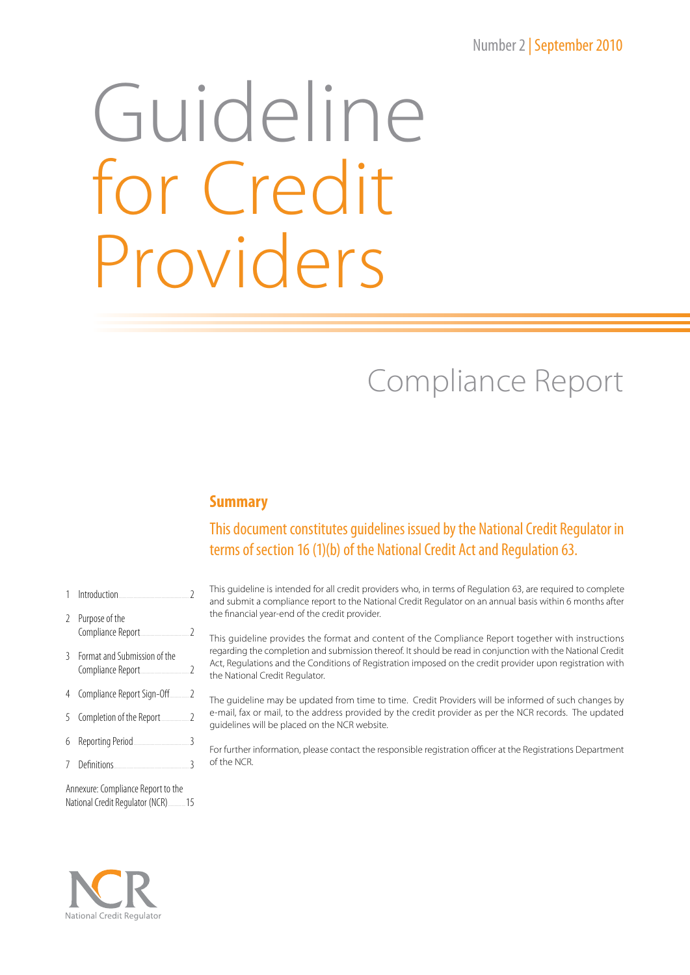# Number 2 | September 2010

# Guideline for Credit Providers

# Compliance Report

## **Summary**

# This document constitutes guidelines issued by the National Credit Regulator in terms of section 16(1)(b) of the National Credit Act and Regulation 63.

- 1 Introduction.....................................................2 2 Purpose of the Compliance Report.....................................2 3 Format and Submission of the Compliance Report.....................................2
- 4 Compliance Report Sign-Off...............2
- 5 Completion of the Report......................2
- 6 Reporting Period..........................................3
- 7 Definitions.........................................................3

Annexure: Compliance Report to the National Credit Regulator (NCR).............15



This guideline is intended for all credit providers who, in terms of Regulation 63, are required to complete and submit a compliance report to the National Credit Regulator on an annual basis within 6 months after the financial year-end of the credit provider.

This guideline provides the format and content of the Compliance Report together with instructions regarding the completion and submission thereof. It should be read in conjunction with the National Credit Act, Regulations and the Conditions of Registration imposed on the credit provider upon registration with the National Credit Regulator.

The guideline may be updated from time to time. Credit Providers will be informed of such changes by e-mail, fax or mail, to the address provided by the credit provider as per the NCR records. The updated guidelines will be placed on the NCR website.

For further information, please contact the responsible registration officer at the Registrations Department of the NCR.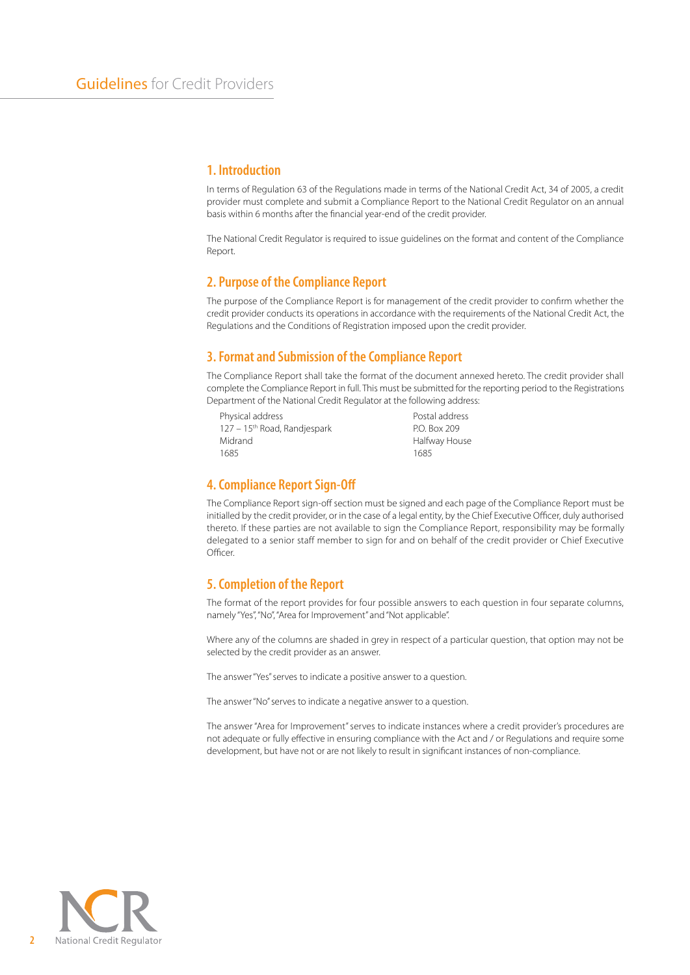#### **1. Introduction**

In terms of Regulation 63 of the Regulations made in terms of the National Credit Act, 34 of 2005, a credit provider must complete and submit a Compliance Report to the National Credit Regulator on an annual basis within 6 months after the financial year-end of the credit provider.

The National Credit Regulator is required to issue guidelines on the format and content of the Compliance Report.

#### **2. Purpose of the Compliance Report**

The purpose of the Compliance Report is for management of the credit provider to confirm whether the credit provider conducts its operations in accordance with the requirements of the National Credit Act, the Regulations and the Conditions of Registration imposed upon the credit provider.

#### **3. Format and Submission of the Compliance Report**

The Compliance Report shall take the format of the document annexed hereto. The credit provider shall complete the Compliance Report in full. This must be submitted for the reporting period to the Registrations Department of the National Credit Regulator at the following address:

| Physical address                         | Postal address |
|------------------------------------------|----------------|
| 127 - 15 <sup>th</sup> Road, Randjespark | P.O. Box 209   |
| Midrand                                  | Halfway House  |
| 1685                                     | 1685           |
|                                          |                |

#### **4. Compliance Report Sign-Off**

The Compliance Report sign-off section must be signed and each page of the Compliance Report must be initialled by the credit provider, or in the case of a legal entity, by the Chief Executive Officer, duly authorised thereto. If these parties are not available to sign the Compliance Report, responsibility may be formally delegated to a senior staff member to sign for and on behalf of the credit provider or Chief Executive Officer.

#### **5. Completion of the Report**

The format of the report provides for four possible answers to each question in four separate columns, namely "Yes", "No", "Area for Improvement" and "Not applicable".

Where any of the columns are shaded in grey in respect of a particular question, that option may not be selected by the credit provider as an answer.

The answer "Yes" serves to indicate a positive answer to a question.

The answer "No" serves to indicate a negative answer to a question.

The answer "Area for Improvement" serves to indicate instances where a credit provider's procedures are not adequate or fully effective in ensuring compliance with the Act and / or Regulations and require some development, but have not or are not likely to result in significant instances of non-compliance.

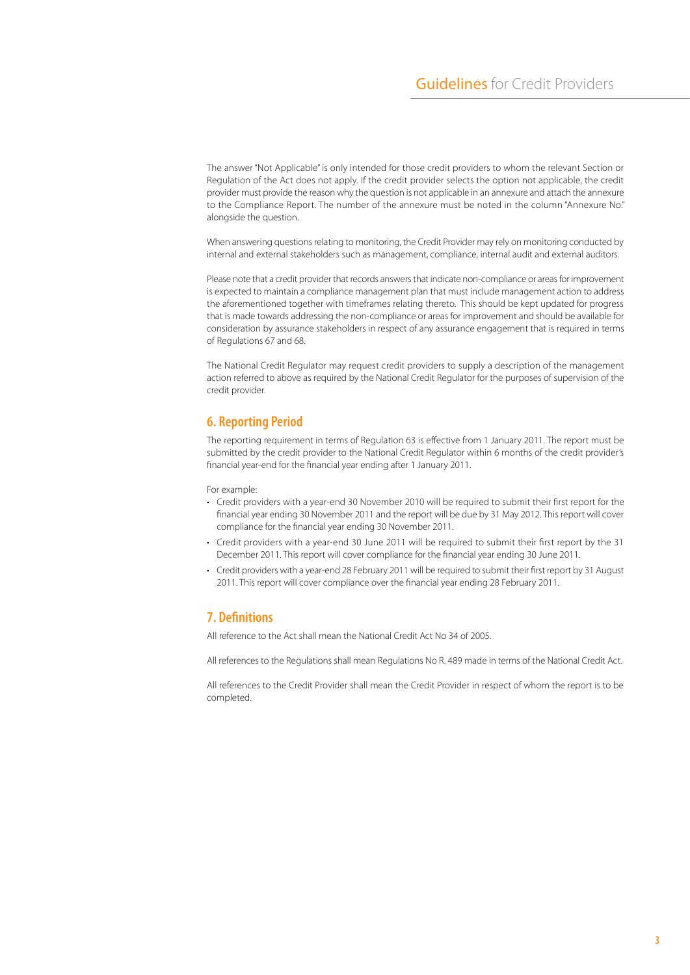The answer "Not Applicable" is only intended for those credit providers to whom the relevant Section or Regulation of the Act does not apply. If the credit provider selects the option not applicable, the credit provider must provide the reason why the question is not applicable in an annexure and attach the annexure to the Compliance Report. The number of the annexure must be noted in the column "Annexure No." alongside the question.

When answering questions relating to monitoring, the Credit Provider may rely on monitoring conducted by internal and external stakeholders such as management, compliance, internal audit and external auditors.

Please note that a credit provider that records answers that indicate non-compliance or areas for improvement is expected to maintain a compliance management plan that must include management action to address the aforementioned together with timeframes relating thereto. This should be kept updated for progress that is made towards addressing the non-compliance or areas for improvement and should be available for consideration by assurance stakeholders in respect of any assurance engagement that is required in terms of Regulations 67 and 68.

The National Credit Regulator may request credit providers to supply a description of the management action referred to above as required by the National Credit Regulator for the purposes of supervision of the credit provider.

#### **6. Reporting Period**

The reporting requirement in terms of Regulation 63 is effective from 1 January 2011. The report must be submitted by the credit provider to the National Credit Regulator within 6 months of the credit provider's financial year-end for the financial year ending after 1 January 2011.

For example:

- • Credit providers with a year-end 30 November 2010 will be required to submit their first report for the financial year ending 30 November 2011 and the report will be due by 31 May 2012. This report will cover compliance for the financial year ending 30 November 2011.
- • Credit providers with a year-end 30 June 2011 will be required to submit their first report by the 31 December 2011. This report will cover compliance for the financial year ending 30 June 2011.
- Credit providers with a year-end 28 February 2011 will be required to submit their first report by 31 August 2011. This report will cover compliance over the financial year ending 28 February 2011.

#### **7. Definitions**

All reference to the Act shall mean the National Credit Act No 34 of 2005.

All references to the Regulations shall mean Regulations No R. 489 made in terms of the National Credit Act.

All references to the Credit Provider shall mean the Credit Provider in respect of whom the report is to be completed.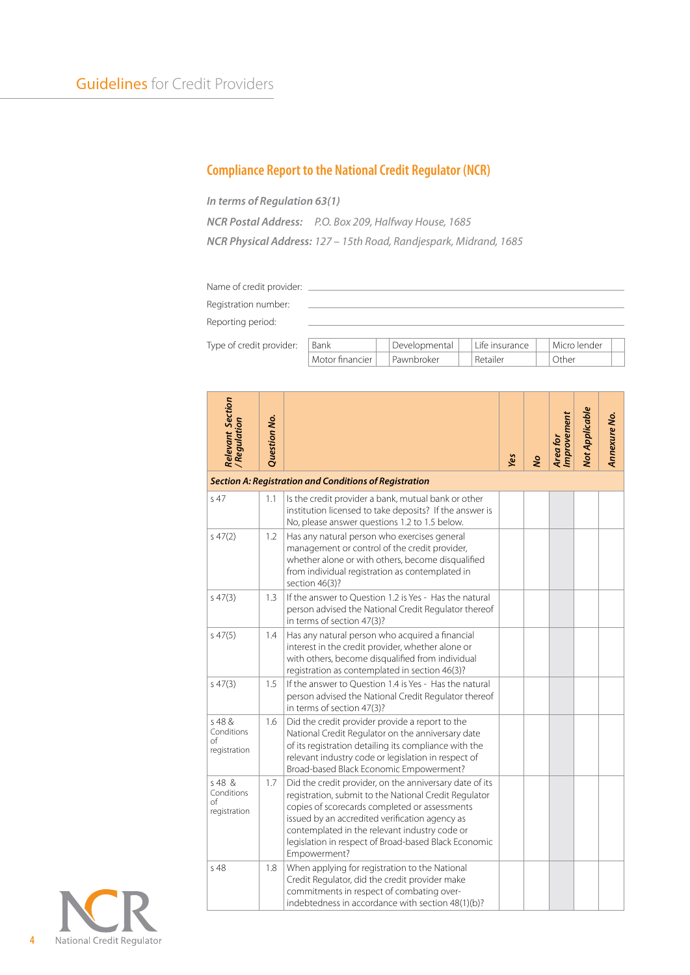## **Compliance Report to the National Credit Regulator (NCR)**

*In terms of Regulation 63(1)*

*NCR Postal Address: P.O. Box 209, Halfway House, 1685 NCR Physical Address: 127 – 15th Road, Randjespark, Midrand, 1685*

| Name of credit provider: |  |  |  |  |  |  |
|--------------------------|--|--|--|--|--|--|
| Registration number:     |  |  |  |  |  |  |
| Reporting period:        |  |  |  |  |  |  |
|                          |  |  |  |  |  |  |

Type of credit provider:

| 3ank            | Developmental | Life insurance | Micro lender |  |
|-----------------|---------------|----------------|--------------|--|
| Motor financier | I Pawnbroker  |                | :her         |  |
|                 |               |                |              |  |

| <b>Relevant Section</b><br>/Regulation       | Question No. |                                                                                                                                                                                                                                                                                                                                              | Yes | S | Improvement<br>Area for | <b>Not Applicable</b> | Annexure No. |
|----------------------------------------------|--------------|----------------------------------------------------------------------------------------------------------------------------------------------------------------------------------------------------------------------------------------------------------------------------------------------------------------------------------------------|-----|---|-------------------------|-----------------------|--------------|
|                                              |              | <b>Section A: Registration and Conditions of Registration</b>                                                                                                                                                                                                                                                                                |     |   |                         |                       |              |
| s <sub>47</sub>                              | 1.1          | Is the credit provider a bank, mutual bank or other<br>institution licensed to take deposits? If the answer is<br>No, please answer questions 1.2 to 1.5 below.                                                                                                                                                                              |     |   |                         |                       |              |
| 547(2)                                       | 1.2          | Has any natural person who exercises general<br>management or control of the credit provider,<br>whether alone or with others, become disqualified<br>from individual registration as contemplated in<br>section 46(3)?                                                                                                                      |     |   |                         |                       |              |
| 547(3)                                       | 1.3          | If the answer to Question 1.2 is Yes - Has the natural<br>person advised the National Credit Regulator thereof<br>in terms of section 47(3)?                                                                                                                                                                                                 |     |   |                         |                       |              |
| 547(5)                                       | 1.4          | Has any natural person who acquired a financial<br>interest in the credit provider, whether alone or<br>with others, become disqualified from individual<br>registration as contemplated in section 46(3)?                                                                                                                                   |     |   |                         |                       |              |
| 547(3)                                       | 1.5          | If the answer to Ouestion 1.4 is Yes - Has the natural<br>person advised the National Credit Regulator thereof<br>in terms of section 47(3)?                                                                                                                                                                                                 |     |   |                         |                       |              |
| s 48 &<br>Conditions<br>оf<br>registration   | 1.6          | Did the credit provider provide a report to the<br>National Credit Regulator on the anniversary date<br>of its registration detailing its compliance with the<br>relevant industry code or legislation in respect of<br>Broad-based Black Economic Empowerment?                                                                              |     |   |                         |                       |              |
| $s$ 48 &<br>Conditions<br>of<br>registration | 1.7          | Did the credit provider, on the anniversary date of its<br>registration, submit to the National Credit Regulator<br>copies of scorecards completed or assessments<br>issued by an accredited verification agency as<br>contemplated in the relevant industry code or<br>legislation in respect of Broad-based Black Economic<br>Empowerment? |     |   |                         |                       |              |
| s 48                                         | 1.8          | When applying for registration to the National<br>Credit Regulator, did the credit provider make<br>commitments in respect of combating over-<br>indebtedness in accordance with section 48(1)(b)?                                                                                                                                           |     |   |                         |                       |              |

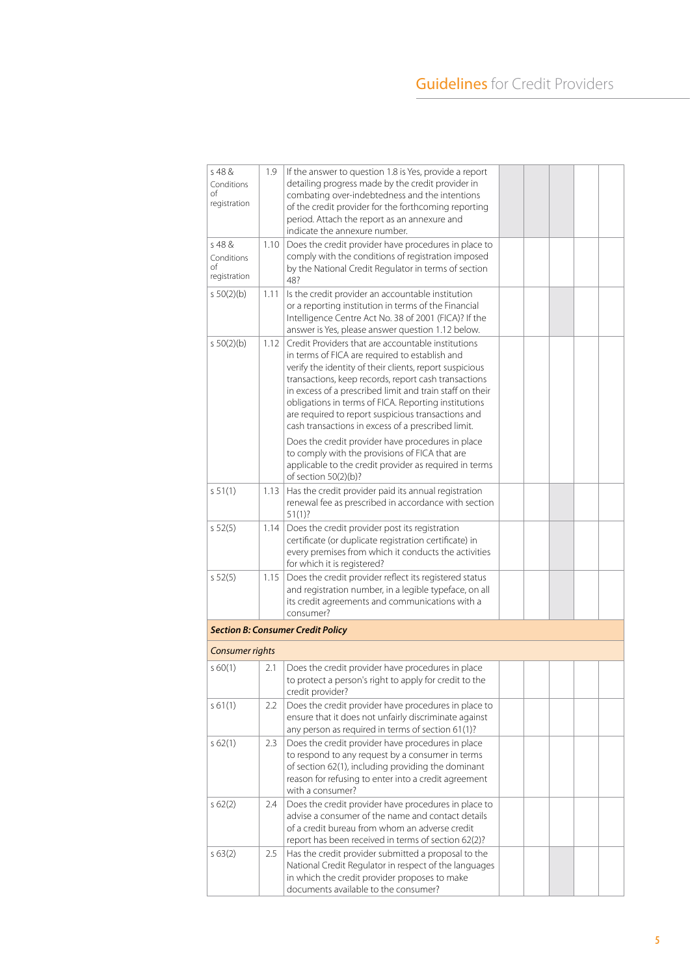| s 48 &<br>Conditions<br>of<br>registration | 1.9  | If the answer to question 1.8 is Yes, provide a report<br>detailing progress made by the credit provider in<br>combating over-indebtedness and the intentions<br>of the credit provider for the forthcoming reporting<br>period. Attach the report as an annexure and<br>indicate the annexure number.                                                                                                                                                                                                                                                                                                                   |  |  |  |
|--------------------------------------------|------|--------------------------------------------------------------------------------------------------------------------------------------------------------------------------------------------------------------------------------------------------------------------------------------------------------------------------------------------------------------------------------------------------------------------------------------------------------------------------------------------------------------------------------------------------------------------------------------------------------------------------|--|--|--|
| 548 &<br>Conditions<br>of<br>registration  | 1.10 | Does the credit provider have procedures in place to<br>comply with the conditions of registration imposed<br>by the National Credit Regulator in terms of section<br>48?                                                                                                                                                                                                                                                                                                                                                                                                                                                |  |  |  |
| 50(2)(b)                                   | 1.11 | Is the credit provider an accountable institution<br>or a reporting institution in terms of the Financial<br>Intelligence Centre Act No. 38 of 2001 (FICA)? If the<br>answer is Yes, please answer question 1.12 below.                                                                                                                                                                                                                                                                                                                                                                                                  |  |  |  |
| 50(2)(b)                                   | 1.12 | Credit Providers that are accountable institutions<br>in terms of FICA are required to establish and<br>verify the identity of their clients, report suspicious<br>transactions, keep records, report cash transactions<br>in excess of a prescribed limit and train staff on their<br>obligations in terms of FICA. Reporting institutions<br>are required to report suspicious transactions and<br>cash transactions in excess of a prescribed limit.<br>Does the credit provider have procedures in place<br>to comply with the provisions of FICA that are<br>applicable to the credit provider as required in terms |  |  |  |
| 551(1)                                     | 1.13 | of section 50(2)(b)?<br>Has the credit provider paid its annual registration<br>renewal fee as prescribed in accordance with section<br>51(1)?                                                                                                                                                                                                                                                                                                                                                                                                                                                                           |  |  |  |
| 552(5)                                     | 1.14 | Does the credit provider post its registration<br>certificate (or duplicate registration certificate) in<br>every premises from which it conducts the activities<br>for which it is registered?                                                                                                                                                                                                                                                                                                                                                                                                                          |  |  |  |
| 552(5)                                     | 1.15 | Does the credit provider reflect its registered status<br>and registration number, in a legible typeface, on all<br>its credit agreements and communications with a<br>consumer?                                                                                                                                                                                                                                                                                                                                                                                                                                         |  |  |  |
|                                            |      | <b>Section B: Consumer Credit Policy</b>                                                                                                                                                                                                                                                                                                                                                                                                                                                                                                                                                                                 |  |  |  |
| Consumer rights                            |      |                                                                                                                                                                                                                                                                                                                                                                                                                                                                                                                                                                                                                          |  |  |  |
| 560(1)                                     | 2.1  | Does the credit provider have procedures in place<br>to protect a person's right to apply for credit to the<br>credit provider?                                                                                                                                                                                                                                                                                                                                                                                                                                                                                          |  |  |  |
| s 61(1)                                    | 2.2  | Does the credit provider have procedures in place to<br>ensure that it does not unfairly discriminate against<br>any person as required in terms of section 61(1)?                                                                                                                                                                                                                                                                                                                                                                                                                                                       |  |  |  |
| s 62(1)                                    | 2.3  | Does the credit provider have procedures in place<br>to respond to any request by a consumer in terms<br>of section 62(1), including providing the dominant<br>reason for refusing to enter into a credit agreement<br>with a consumer?                                                                                                                                                                                                                                                                                                                                                                                  |  |  |  |
| 562(2)                                     | 2.4  | Does the credit provider have procedures in place to<br>advise a consumer of the name and contact details<br>of a credit bureau from whom an adverse credit<br>report has been received in terms of section 62(2)?                                                                                                                                                                                                                                                                                                                                                                                                       |  |  |  |
| 563(2)                                     | 2.5  | Has the credit provider submitted a proposal to the<br>National Credit Regulator in respect of the languages<br>in which the credit provider proposes to make<br>documents available to the consumer?                                                                                                                                                                                                                                                                                                                                                                                                                    |  |  |  |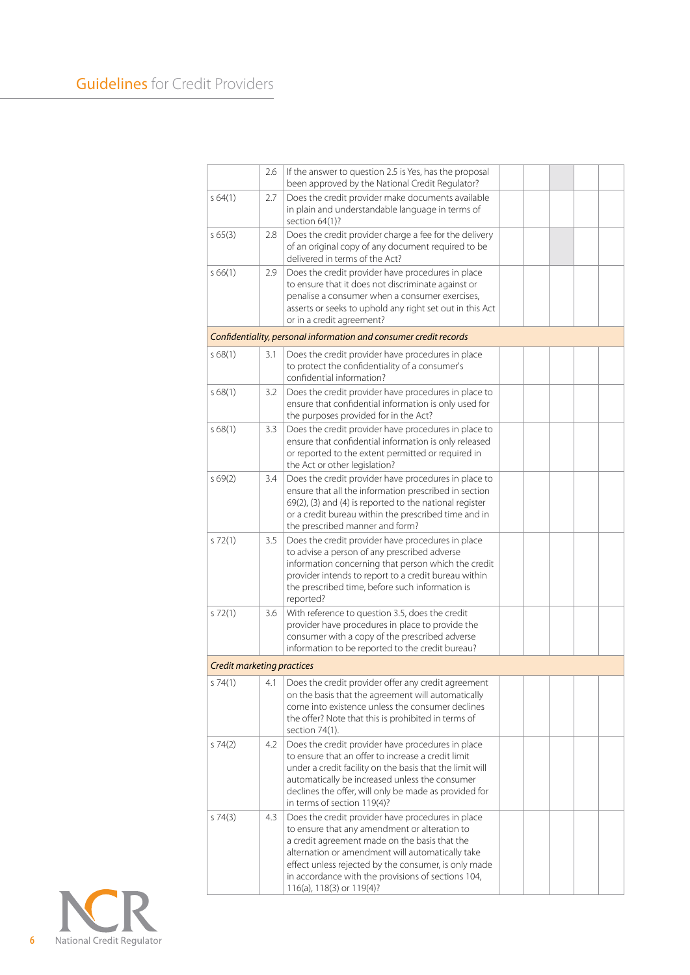|                            | 2.6 | If the answer to question 2.5 is Yes, has the proposal<br>been approved by the National Credit Regulator?                                                                                                                                                                                                                                          |  |  |  |
|----------------------------|-----|----------------------------------------------------------------------------------------------------------------------------------------------------------------------------------------------------------------------------------------------------------------------------------------------------------------------------------------------------|--|--|--|
| 564(1)                     | 2.7 | Does the credit provider make documents available<br>in plain and understandable language in terms of<br>section 64(1)?                                                                                                                                                                                                                            |  |  |  |
| 565(3)                     | 2.8 | Does the credit provider charge a fee for the delivery<br>of an original copy of any document required to be<br>delivered in terms of the Act?                                                                                                                                                                                                     |  |  |  |
| 566(1)                     | 2.9 | Does the credit provider have procedures in place<br>to ensure that it does not discriminate against or<br>penalise a consumer when a consumer exercises,<br>asserts or seeks to uphold any right set out in this Act<br>or in a credit agreement?                                                                                                 |  |  |  |
|                            |     | Confidentiality, personal information and consumer credit records                                                                                                                                                                                                                                                                                  |  |  |  |
| 568(1)                     | 3.1 | Does the credit provider have procedures in place<br>to protect the confidentiality of a consumer's<br>confidential information?                                                                                                                                                                                                                   |  |  |  |
| s68(1)                     | 3.2 | Does the credit provider have procedures in place to<br>ensure that confidential information is only used for<br>the purposes provided for in the Act?                                                                                                                                                                                             |  |  |  |
| 568(1)                     | 3.3 | Does the credit provider have procedures in place to<br>ensure that confidential information is only released<br>or reported to the extent permitted or required in<br>the Act or other legislation?                                                                                                                                               |  |  |  |
| 569(2)                     | 3.4 | Does the credit provider have procedures in place to<br>ensure that all the information prescribed in section<br>69(2), (3) and (4) is reported to the national register<br>or a credit bureau within the prescribed time and in<br>the prescribed manner and form?                                                                                |  |  |  |
| 572(1)                     | 3.5 | Does the credit provider have procedures in place<br>to advise a person of any prescribed adverse<br>information concerning that person which the credit<br>provider intends to report to a credit bureau within<br>the prescribed time, before such information is<br>reported?                                                                   |  |  |  |
| 572(1)                     | 3.6 | With reference to question 3.5, does the credit<br>provider have procedures in place to provide the<br>consumer with a copy of the prescribed adverse<br>information to be reported to the credit bureau?                                                                                                                                          |  |  |  |
| Credit marketing practices |     |                                                                                                                                                                                                                                                                                                                                                    |  |  |  |
| s 74(1)                    | 4.1 | Does the credit provider offer any credit agreement<br>on the basis that the agreement will automatically<br>come into existence unless the consumer declines<br>the offer? Note that this is prohibited in terms of<br>section 74(1).                                                                                                             |  |  |  |
| 574(2)                     | 4.2 | Does the credit provider have procedures in place<br>to ensure that an offer to increase a credit limit<br>under a credit facility on the basis that the limit will<br>automatically be increased unless the consumer<br>declines the offer, will only be made as provided for<br>in terms of section 119(4)?                                      |  |  |  |
| 574(3)                     | 4.3 | Does the credit provider have procedures in place<br>to ensure that any amendment or alteration to<br>a credit agreement made on the basis that the<br>alternation or amendment will automatically take<br>effect unless rejected by the consumer, is only made<br>in accordance with the provisions of sections 104,<br>116(a), 118(3) or 119(4)? |  |  |  |

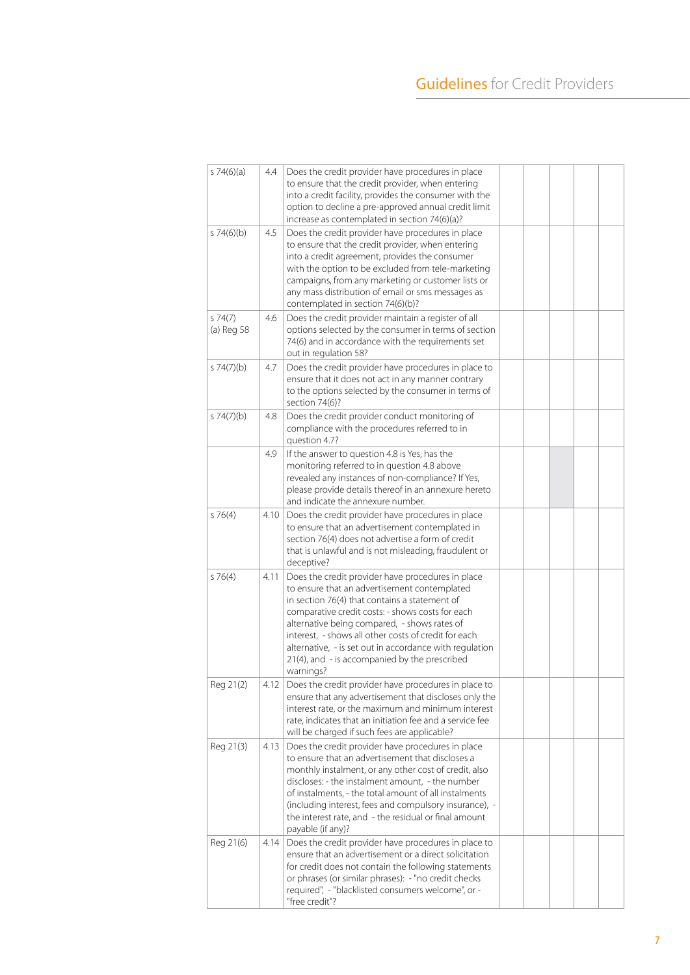| s $74(6)(a)$         | 4.4  | Does the credit provider have procedures in place<br>to ensure that the credit provider, when entering<br>into a credit facility, provides the consumer with the<br>option to decline a pre-approved annual credit limit<br>increase as contemplated in section 74(6)(a)?                                                                                                                                                               |  |  |  |
|----------------------|------|-----------------------------------------------------------------------------------------------------------------------------------------------------------------------------------------------------------------------------------------------------------------------------------------------------------------------------------------------------------------------------------------------------------------------------------------|--|--|--|
| 574(6)(b)            | 4.5  | Does the credit provider have procedures in place<br>to ensure that the credit provider, when entering<br>into a credit agreement, provides the consumer<br>with the option to be excluded from tele-marketing<br>campaigns, from any marketing or customer lists or<br>any mass distribution of email or sms messages as<br>contemplated in section 74(6)(b)?                                                                          |  |  |  |
| 574(7)<br>(a) Reg 58 | 4.6  | Does the credit provider maintain a register of all<br>options selected by the consumer in terms of section<br>74(6) and in accordance with the requirements set<br>out in regulation 58?                                                                                                                                                                                                                                               |  |  |  |
| s 74(7)(b)           | 4.7  | Does the credit provider have procedures in place to<br>ensure that it does not act in any manner contrary<br>to the options selected by the consumer in terms of<br>section 74(6)?                                                                                                                                                                                                                                                     |  |  |  |
| s 74(7)(b)           | 4.8  | Does the credit provider conduct monitoring of<br>compliance with the procedures referred to in<br>question 4.7?                                                                                                                                                                                                                                                                                                                        |  |  |  |
|                      | 4.9  | If the answer to question 4.8 is Yes, has the<br>monitoring referred to in question 4.8 above<br>revealed any instances of non-compliance? If Yes,<br>please provide details thereof in an annexure hereto<br>and indicate the annexure number.                                                                                                                                                                                         |  |  |  |
| 576(4)               | 4.10 | Does the credit provider have procedures in place<br>to ensure that an advertisement contemplated in<br>section 76(4) does not advertise a form of credit<br>that is unlawful and is not misleading, fraudulent or<br>deceptive?                                                                                                                                                                                                        |  |  |  |
| 576(4)               | 4.11 | Does the credit provider have procedures in place<br>to ensure that an advertisement contemplated<br>in section 76(4) that contains a statement of<br>comparative credit costs: - shows costs for each<br>alternative being compared, - shows rates of<br>interest, - shows all other costs of credit for each<br>alternative, - is set out in accordance with regulation<br>21(4), and - is accompanied by the prescribed<br>warnings? |  |  |  |
| Reg 21(2)            |      | 4.12   Does the credit provider have procedures in place to<br>ensure that any advertisement that discloses only the<br>interest rate, or the maximum and minimum interest<br>rate, indicates that an initiation fee and a service fee<br>will be charged if such fees are applicable?                                                                                                                                                  |  |  |  |
| Reg 21(3)            | 4.13 | Does the credit provider have procedures in place<br>to ensure that an advertisement that discloses a<br>monthly instalment, or any other cost of credit, also<br>discloses: - the instalment amount, - the number<br>of instalments, - the total amount of all instalments<br>(including interest, fees and compulsory insurance), -<br>the interest rate, and - the residual or final amount<br>payable (if any)?                     |  |  |  |
| Reg 21(6)            | 4.14 | Does the credit provider have procedures in place to<br>ensure that an advertisement or a direct solicitation<br>for credit does not contain the following statements<br>or phrases (or similar phrases): - "no credit checks<br>required", - "blacklisted consumers welcome", or -<br>"free credit"?                                                                                                                                   |  |  |  |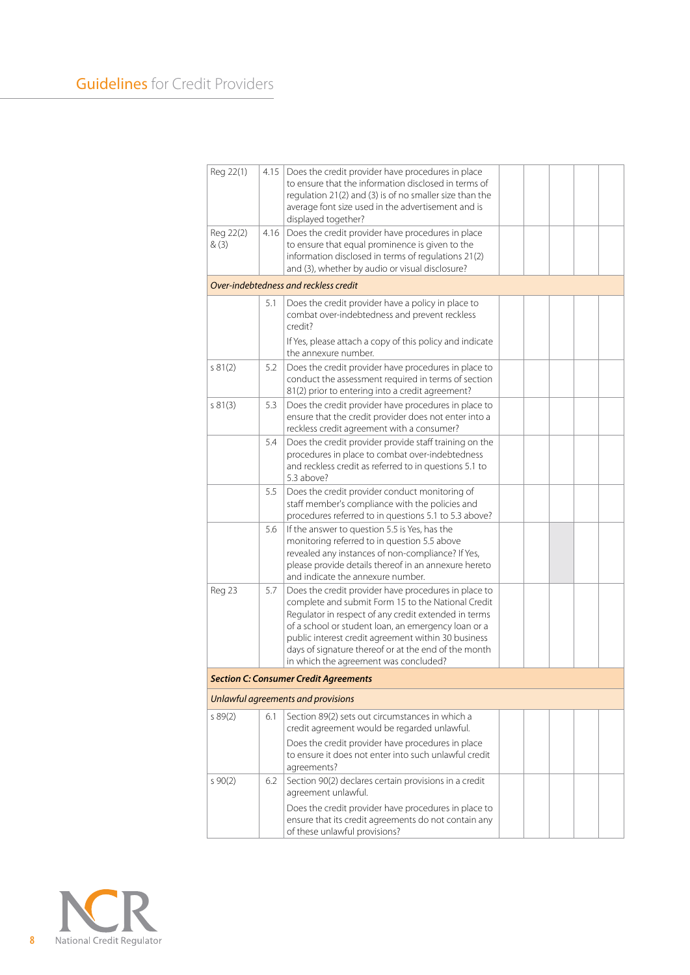| Reg 22(1)          | 4.15 | Does the credit provider have procedures in place<br>to ensure that the information disclosed in terms of<br>regulation 21(2) and (3) is of no smaller size than the<br>average font size used in the advertisement and is<br>displayed together?                                                                                                                                 |  |  |  |
|--------------------|------|-----------------------------------------------------------------------------------------------------------------------------------------------------------------------------------------------------------------------------------------------------------------------------------------------------------------------------------------------------------------------------------|--|--|--|
| Reg 22(2)<br>& (3) | 4.16 | Does the credit provider have procedures in place<br>to ensure that equal prominence is given to the<br>information disclosed in terms of regulations 21(2)<br>and (3), whether by audio or visual disclosure?                                                                                                                                                                    |  |  |  |
|                    |      | Over-indebtedness and reckless credit                                                                                                                                                                                                                                                                                                                                             |  |  |  |
|                    | 5.1  | Does the credit provider have a policy in place to<br>combat over-indebtedness and prevent reckless<br>credit?                                                                                                                                                                                                                                                                    |  |  |  |
|                    |      | If Yes, please attach a copy of this policy and indicate<br>the annexure number.                                                                                                                                                                                                                                                                                                  |  |  |  |
| 581(2)             | 5.2  | Does the credit provider have procedures in place to<br>conduct the assessment required in terms of section<br>81(2) prior to entering into a credit agreement?                                                                                                                                                                                                                   |  |  |  |
| s 81(3)            | 5.3  | Does the credit provider have procedures in place to<br>ensure that the credit provider does not enter into a<br>reckless credit agreement with a consumer?                                                                                                                                                                                                                       |  |  |  |
|                    | 5.4  | Does the credit provider provide staff training on the<br>procedures in place to combat over-indebtedness<br>and reckless credit as referred to in questions 5.1 to<br>5.3 above?                                                                                                                                                                                                 |  |  |  |
|                    | 5.5  | Does the credit provider conduct monitoring of<br>staff member's compliance with the policies and<br>procedures referred to in questions 5.1 to 5.3 above?                                                                                                                                                                                                                        |  |  |  |
|                    | 5.6  | If the answer to question 5.5 is Yes, has the<br>monitoring referred to in question 5.5 above<br>revealed any instances of non-compliance? If Yes,<br>please provide details thereof in an annexure hereto<br>and indicate the annexure number.                                                                                                                                   |  |  |  |
| Reg 23             | 5.7  | Does the credit provider have procedures in place to<br>complete and submit Form 15 to the National Credit<br>Regulator in respect of any credit extended in terms<br>of a school or student loan, an emergency loan or a<br>public interest credit agreement within 30 business<br>days of signature thereof or at the end of the month<br>in which the agreement was concluded? |  |  |  |
|                    |      | <b>Section C: Consumer Credit Agreements</b>                                                                                                                                                                                                                                                                                                                                      |  |  |  |
|                    |      | Unlawful agreements and provisions                                                                                                                                                                                                                                                                                                                                                |  |  |  |
| 589(2)             | 6.1  | Section 89(2) sets out circumstances in which a<br>credit agreement would be regarded unlawful.                                                                                                                                                                                                                                                                                   |  |  |  |
|                    |      | Does the credit provider have procedures in place<br>to ensure it does not enter into such unlawful credit<br>agreements?                                                                                                                                                                                                                                                         |  |  |  |
| 590(2)             | 6.2  | Section 90(2) declares certain provisions in a credit<br>agreement unlawful.<br>Does the credit provider have procedures in place to                                                                                                                                                                                                                                              |  |  |  |
|                    |      | ensure that its credit agreements do not contain any<br>of these unlawful provisions?                                                                                                                                                                                                                                                                                             |  |  |  |

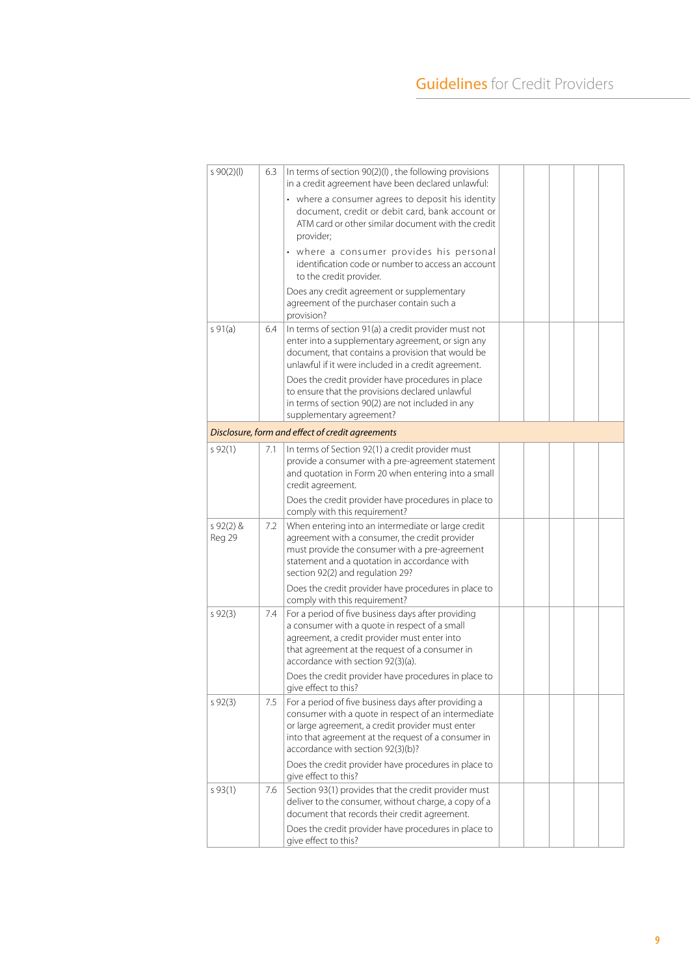| 590(2)(1)            | 6.3 | In terms of section 90(2)(I), the following provisions<br>in a credit agreement have been declared unlawful:                                                                                                                                                |  |  |  |
|----------------------|-----|-------------------------------------------------------------------------------------------------------------------------------------------------------------------------------------------------------------------------------------------------------------|--|--|--|
|                      |     | • where a consumer agrees to deposit his identity<br>document, credit or debit card, bank account or<br>ATM card or other similar document with the credit<br>provider;                                                                                     |  |  |  |
|                      |     | • where a consumer provides his personal<br>identification code or number to access an account<br>to the credit provider.                                                                                                                                   |  |  |  |
|                      |     | Does any credit agreement or supplementary<br>agreement of the purchaser contain such a<br>provision?                                                                                                                                                       |  |  |  |
| $s$ 91(a)            | 6.4 | In terms of section 91(a) a credit provider must not<br>enter into a supplementary agreement, or sign any<br>document, that contains a provision that would be<br>unlawful if it were included in a credit agreement.                                       |  |  |  |
|                      |     | Does the credit provider have procedures in place<br>to ensure that the provisions declared unlawful<br>in terms of section 90(2) are not included in any<br>supplementary agreement?                                                                       |  |  |  |
|                      |     | Disclosure, form and effect of credit agreements                                                                                                                                                                                                            |  |  |  |
| 592(1)               | 7.1 | In terms of Section 92(1) a credit provider must<br>provide a consumer with a pre-agreement statement<br>and quotation in Form 20 when entering into a small<br>credit agreement.                                                                           |  |  |  |
|                      |     | Does the credit provider have procedures in place to<br>comply with this requirement?                                                                                                                                                                       |  |  |  |
| $592(2)$ &<br>Reg 29 | 7.2 | When entering into an intermediate or large credit<br>agreement with a consumer, the credit provider<br>must provide the consumer with a pre-agreement<br>statement and a quotation in accordance with<br>section 92(2) and regulation 29?                  |  |  |  |
|                      |     | Does the credit provider have procedures in place to<br>comply with this requirement?                                                                                                                                                                       |  |  |  |
| 592(3)               | 7.4 | For a period of five business days after providing<br>a consumer with a quote in respect of a small<br>agreement, a credit provider must enter into<br>that agreement at the request of a consumer in<br>accordance with section 92(3)(a).                  |  |  |  |
|                      |     | Does the credit provider have procedures in place to<br>give effect to this?                                                                                                                                                                                |  |  |  |
| 592(3)               | 7.5 | For a period of five business days after providing a<br>consumer with a quote in respect of an intermediate<br>or large agreement, a credit provider must enter<br>into that agreement at the request of a consumer in<br>accordance with section 92(3)(b)? |  |  |  |
|                      |     | Does the credit provider have procedures in place to<br>give effect to this?                                                                                                                                                                                |  |  |  |
| 593(1)               | 7.6 | Section 93(1) provides that the credit provider must<br>deliver to the consumer, without charge, a copy of a<br>document that records their credit agreement.                                                                                               |  |  |  |
|                      |     | Does the credit provider have procedures in place to<br>give effect to this?                                                                                                                                                                                |  |  |  |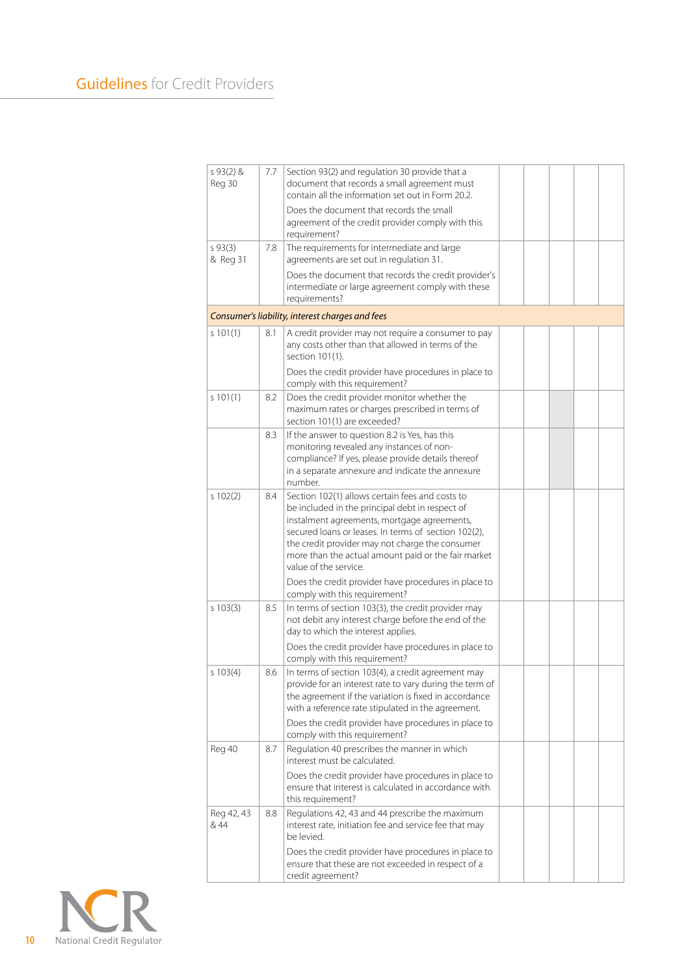| s $93(2)$ &<br>Reg 30 | 7.7 | Section 93(2) and regulation 30 provide that a<br>document that records a small agreement must<br>contain all the information set out in Form 20.2.<br>Does the document that records the small<br>agreement of the credit provider comply with this<br>requirement?                                                                                                                                 |  |  |  |
|-----------------------|-----|------------------------------------------------------------------------------------------------------------------------------------------------------------------------------------------------------------------------------------------------------------------------------------------------------------------------------------------------------------------------------------------------------|--|--|--|
| 593(3)<br>& Reg 31    | 7.8 | The requirements for intermediate and large<br>agreements are set out in regulation 31.<br>Does the document that records the credit provider's<br>intermediate or large agreement comply with these<br>requirements?                                                                                                                                                                                |  |  |  |
|                       |     | Consumer's liability, interest charges and fees                                                                                                                                                                                                                                                                                                                                                      |  |  |  |
| s 101(1)              | 8.1 | A credit provider may not require a consumer to pay<br>any costs other than that allowed in terms of the<br>section 101(1).<br>Does the credit provider have procedures in place to                                                                                                                                                                                                                  |  |  |  |
| s 101(1)              | 8.2 | comply with this requirement?<br>Does the credit provider monitor whether the<br>maximum rates or charges prescribed in terms of                                                                                                                                                                                                                                                                     |  |  |  |
|                       | 8.3 | section 101(1) are exceeded?<br>If the answer to question 8.2 is Yes, has this<br>monitoring revealed any instances of non-<br>compliance? If yes, please provide details thereof<br>in a separate annexure and indicate the annexure<br>number.                                                                                                                                                     |  |  |  |
| s 102(2)              | 8.4 | Section 102(1) allows certain fees and costs to<br>be included in the principal debt in respect of<br>instalment agreements, mortgage agreements,<br>secured loans or leases. In terms of section 102(2),<br>the credit provider may not charge the consumer<br>more than the actual amount paid or the fair market<br>value of the service.<br>Does the credit provider have procedures in place to |  |  |  |
| s 103(3)              | 8.5 | comply with this requirement?<br>In terms of section 103(3), the credit provider may<br>not debit any interest charge before the end of the<br>day to which the interest applies.<br>Does the credit provider have procedures in place to<br>comply with this requirement?                                                                                                                           |  |  |  |
| s 103(4)              | 8.6 | In terms of section 103(4), a credit agreement may<br>provide for an interest rate to vary during the term of<br>the agreement if the variation is fixed in accordance<br>with a reference rate stipulated in the agreement.<br>Does the credit provider have procedures in place to<br>comply with this requirement?                                                                                |  |  |  |
| Reg 40                | 8.7 | Regulation 40 prescribes the manner in which<br>interest must be calculated.<br>Does the credit provider have procedures in place to<br>ensure that interest is calculated in accordance with<br>this requirement?                                                                                                                                                                                   |  |  |  |
| Reg 42, 43<br>& 44    | 8.8 | Regulations 42, 43 and 44 prescribe the maximum<br>interest rate, initiation fee and service fee that may<br>be levied.<br>Does the credit provider have procedures in place to<br>ensure that these are not exceeded in respect of a<br>credit agreement?                                                                                                                                           |  |  |  |

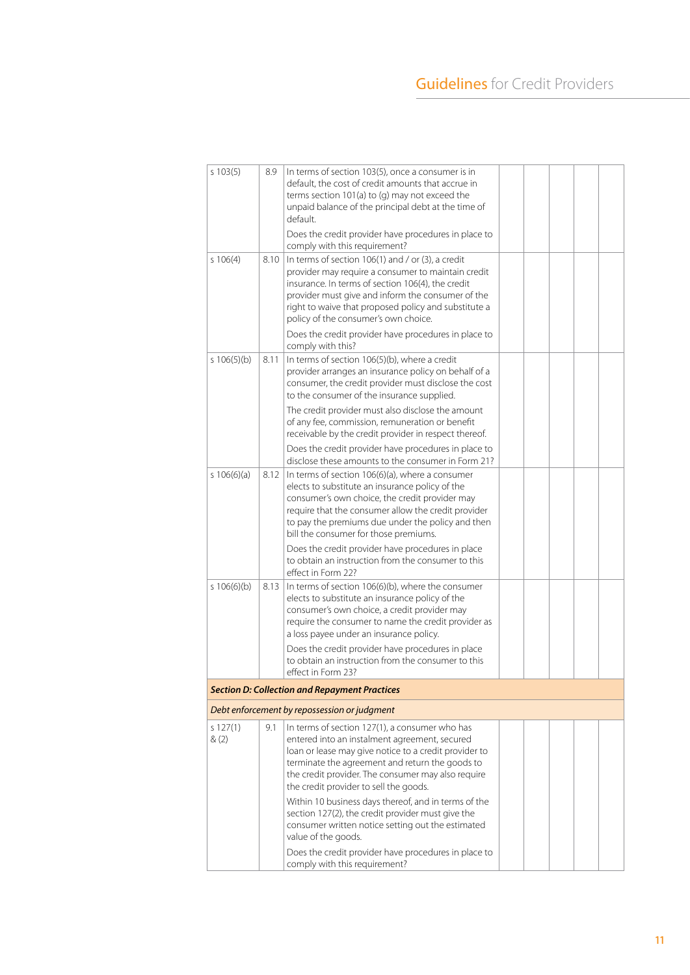| s 103(5)         | 8.9  | In terms of section 103(5), once a consumer is in<br>default, the cost of credit amounts that accrue in<br>terms section 101(a) to (g) may not exceed the<br>unpaid balance of the principal debt at the time of<br>default.                                                                                                                                        |  |  |  |
|------------------|------|---------------------------------------------------------------------------------------------------------------------------------------------------------------------------------------------------------------------------------------------------------------------------------------------------------------------------------------------------------------------|--|--|--|
|                  |      | Does the credit provider have procedures in place to<br>comply with this requirement?                                                                                                                                                                                                                                                                               |  |  |  |
| s 106(4)         | 8.10 | In terms of section 106(1) and / or (3), a credit<br>provider may require a consumer to maintain credit<br>insurance. In terms of section 106(4), the credit<br>provider must give and inform the consumer of the<br>right to waive that proposed policy and substitute a<br>policy of the consumer's own choice.                                                   |  |  |  |
|                  |      | Does the credit provider have procedures in place to<br>comply with this?                                                                                                                                                                                                                                                                                           |  |  |  |
| s 106(5)(b)      | 8.11 | In terms of section 106(5)(b), where a credit<br>provider arranges an insurance policy on behalf of a<br>consumer, the credit provider must disclose the cost<br>to the consumer of the insurance supplied.                                                                                                                                                         |  |  |  |
|                  |      | The credit provider must also disclose the amount<br>of any fee, commission, remuneration or benefit<br>receivable by the credit provider in respect thereof.                                                                                                                                                                                                       |  |  |  |
|                  |      | Does the credit provider have procedures in place to<br>disclose these amounts to the consumer in Form 21?                                                                                                                                                                                                                                                          |  |  |  |
| s 106(6)(a)      | 8.12 | In terms of section 106(6)(a), where a consumer<br>elects to substitute an insurance policy of the<br>consumer's own choice, the credit provider may<br>require that the consumer allow the credit provider<br>to pay the premiums due under the policy and then<br>bill the consumer for those premiums.                                                           |  |  |  |
|                  |      | Does the credit provider have procedures in place<br>to obtain an instruction from the consumer to this<br>effect in Form 22?                                                                                                                                                                                                                                       |  |  |  |
| s 106(6)(b)      | 8.13 | In terms of section 106(6)(b), where the consumer<br>elects to substitute an insurance policy of the<br>consumer's own choice, a credit provider may<br>require the consumer to name the credit provider as<br>a loss payee under an insurance policy.                                                                                                              |  |  |  |
|                  |      | Does the credit provider have procedures in place<br>to obtain an instruction from the consumer to this<br>effect in Form 23?                                                                                                                                                                                                                                       |  |  |  |
|                  |      | <b>Section D: Collection and Repayment Practices</b>                                                                                                                                                                                                                                                                                                                |  |  |  |
|                  |      | Debt enforcement by repossession or judgment                                                                                                                                                                                                                                                                                                                        |  |  |  |
| s 127(1)<br>&(2) | 9.1  | In terms of section 127(1), a consumer who has<br>entered into an instalment agreement, secured<br>loan or lease may give notice to a credit provider to<br>terminate the agreement and return the goods to<br>the credit provider. The consumer may also require<br>the credit provider to sell the goods.<br>Within 10 business days thereof, and in terms of the |  |  |  |
|                  |      | section 127(2), the credit provider must give the<br>consumer written notice setting out the estimated<br>value of the goods.                                                                                                                                                                                                                                       |  |  |  |
|                  |      | Does the credit provider have procedures in place to<br>comply with this requirement?                                                                                                                                                                                                                                                                               |  |  |  |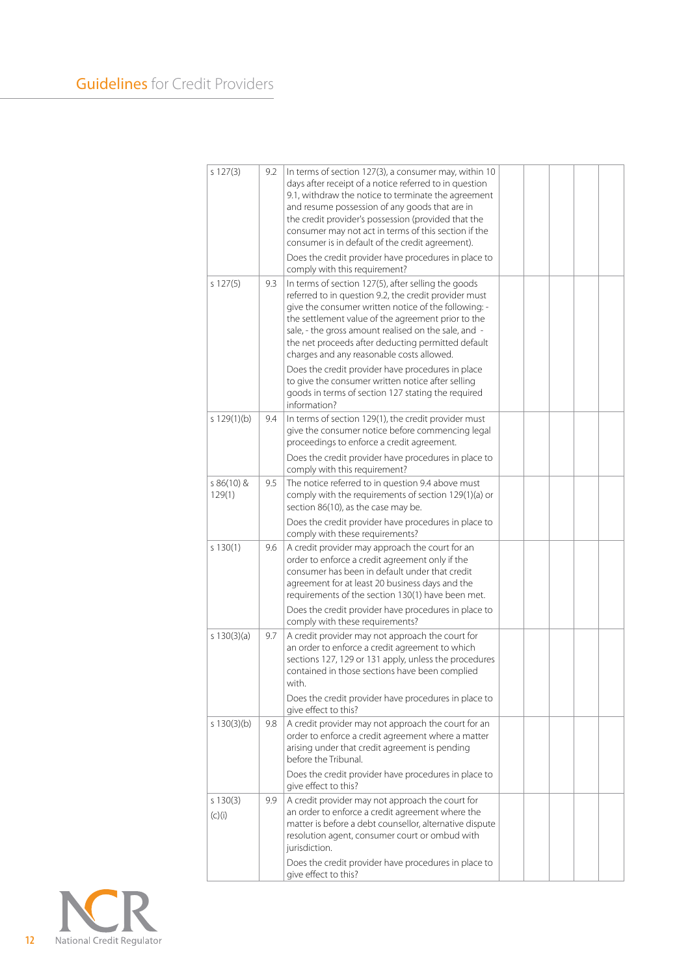| s 127(3)             | 9.2 | In terms of section 127(3), a consumer may, within 10<br>days after receipt of a notice referred to in question<br>9.1, withdraw the notice to terminate the agreement<br>and resume possession of any goods that are in<br>the credit provider's possession (provided that the<br>consumer may not act in terms of this section if the<br>consumer is in default of the credit agreement).<br>Does the credit provider have procedures in place to |  |  |  |
|----------------------|-----|-----------------------------------------------------------------------------------------------------------------------------------------------------------------------------------------------------------------------------------------------------------------------------------------------------------------------------------------------------------------------------------------------------------------------------------------------------|--|--|--|
|                      |     | comply with this requirement?                                                                                                                                                                                                                                                                                                                                                                                                                       |  |  |  |
| s 127(5)             | 9.3 | In terms of section 127(5), after selling the goods<br>referred to in question 9.2, the credit provider must<br>give the consumer written notice of the following: -<br>the settlement value of the agreement prior to the<br>sale, - the gross amount realised on the sale, and -<br>the net proceeds after deducting permitted default<br>charges and any reasonable costs allowed.                                                               |  |  |  |
|                      |     | Does the credit provider have procedures in place<br>to give the consumer written notice after selling<br>goods in terms of section 127 stating the required<br>information?                                                                                                                                                                                                                                                                        |  |  |  |
| s 129(1)(b)          | 9.4 | In terms of section 129(1), the credit provider must<br>give the consumer notice before commencing legal<br>proceedings to enforce a credit agreement.                                                                                                                                                                                                                                                                                              |  |  |  |
|                      |     | Does the credit provider have procedures in place to<br>comply with this requirement?                                                                                                                                                                                                                                                                                                                                                               |  |  |  |
| s 86(10) &<br>129(1) | 9.5 | The notice referred to in question 9.4 above must<br>comply with the requirements of section 129(1)(a) or<br>section 86(10), as the case may be.                                                                                                                                                                                                                                                                                                    |  |  |  |
|                      |     | Does the credit provider have procedures in place to<br>comply with these requirements?                                                                                                                                                                                                                                                                                                                                                             |  |  |  |
| s 130(1)             | 9.6 | A credit provider may approach the court for an<br>order to enforce a credit agreement only if the<br>consumer has been in default under that credit<br>agreement for at least 20 business days and the<br>requirements of the section 130(1) have been met.                                                                                                                                                                                        |  |  |  |
|                      |     | Does the credit provider have procedures in place to<br>comply with these requirements?                                                                                                                                                                                                                                                                                                                                                             |  |  |  |
| s $130(3)(a)$        | 9.7 | A credit provider may not approach the court for<br>an order to enforce a credit agreement to which<br>sections 127, 129 or 131 apply, unless the procedures<br>contained in those sections have been complied<br>with.                                                                                                                                                                                                                             |  |  |  |
|                      |     | Does the credit provider have procedures in place to<br>give effect to this?                                                                                                                                                                                                                                                                                                                                                                        |  |  |  |
| s 130(3)(b)          | 9.8 | A credit provider may not approach the court for an<br>order to enforce a credit agreement where a matter<br>arising under that credit agreement is pending<br>before the Tribunal.                                                                                                                                                                                                                                                                 |  |  |  |
|                      |     | Does the credit provider have procedures in place to<br>give effect to this?                                                                                                                                                                                                                                                                                                                                                                        |  |  |  |
| 5130(3)<br>(c)(i)    | 9.9 | A credit provider may not approach the court for<br>an order to enforce a credit agreement where the<br>matter is before a debt counsellor, alternative dispute<br>resolution agent, consumer court or ombud with<br>jurisdiction.                                                                                                                                                                                                                  |  |  |  |
|                      |     | Does the credit provider have procedures in place to<br>give effect to this?                                                                                                                                                                                                                                                                                                                                                                        |  |  |  |

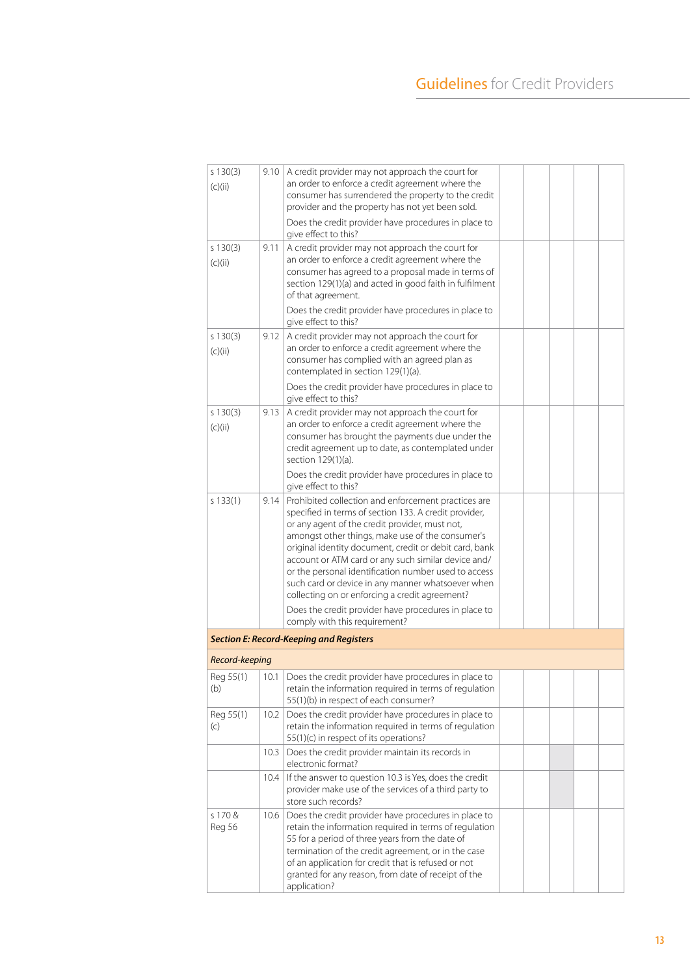| s 130(3)<br>(C)(ii)         | 9.10 | A credit provider may not approach the court for<br>an order to enforce a credit agreement where the<br>consumer has surrendered the property to the credit<br>provider and the property has not yet been sold.                                                                                                                                                                                                                                                                                                                                            |  |  |  |
|-----------------------------|------|------------------------------------------------------------------------------------------------------------------------------------------------------------------------------------------------------------------------------------------------------------------------------------------------------------------------------------------------------------------------------------------------------------------------------------------------------------------------------------------------------------------------------------------------------------|--|--|--|
|                             |      | Does the credit provider have procedures in place to<br>give effect to this?                                                                                                                                                                                                                                                                                                                                                                                                                                                                               |  |  |  |
| s 130(3)<br>9.11<br>(c)(ii) |      | A credit provider may not approach the court for<br>an order to enforce a credit agreement where the<br>consumer has agreed to a proposal made in terms of<br>section 129(1)(a) and acted in good faith in fulfilment<br>of that agreement.                                                                                                                                                                                                                                                                                                                |  |  |  |
|                             |      | Does the credit provider have procedures in place to<br>give effect to this?                                                                                                                                                                                                                                                                                                                                                                                                                                                                               |  |  |  |
| 5130(3)<br>(c)(ii)          | 9.12 | A credit provider may not approach the court for<br>an order to enforce a credit agreement where the<br>consumer has complied with an agreed plan as<br>contemplated in section 129(1)(a).                                                                                                                                                                                                                                                                                                                                                                 |  |  |  |
|                             |      | Does the credit provider have procedures in place to<br>give effect to this?                                                                                                                                                                                                                                                                                                                                                                                                                                                                               |  |  |  |
| s 130(3)<br>(c)(ii)         | 9.13 | A credit provider may not approach the court for<br>an order to enforce a credit agreement where the<br>consumer has brought the payments due under the<br>credit agreement up to date, as contemplated under<br>section 129(1)(a).                                                                                                                                                                                                                                                                                                                        |  |  |  |
|                             |      | Does the credit provider have procedures in place to<br>give effect to this?                                                                                                                                                                                                                                                                                                                                                                                                                                                                               |  |  |  |
| s 133(1)                    | 9.14 | Prohibited collection and enforcement practices are<br>specified in terms of section 133. A credit provider,<br>or any agent of the credit provider, must not,<br>amongst other things, make use of the consumer's<br>original identity document, credit or debit card, bank<br>account or ATM card or any such similar device and/<br>or the personal identification number used to access<br>such card or device in any manner whatsoever when<br>collecting on or enforcing a credit agreement?<br>Does the credit provider have procedures in place to |  |  |  |
|                             |      | comply with this requirement?                                                                                                                                                                                                                                                                                                                                                                                                                                                                                                                              |  |  |  |
|                             |      | <b>Section E: Record-Keeping and Registers</b>                                                                                                                                                                                                                                                                                                                                                                                                                                                                                                             |  |  |  |
| Record-keeping              |      |                                                                                                                                                                                                                                                                                                                                                                                                                                                                                                                                                            |  |  |  |
| Reg 55(1)<br>(b)            | 10.1 | Does the credit provider have procedures in place to<br>retain the information required in terms of regulation<br>55(1)(b) in respect of each consumer?                                                                                                                                                                                                                                                                                                                                                                                                    |  |  |  |
| Reg 55(1)<br>(c)            | 10.2 | Does the credit provider have procedures in place to<br>retain the information required in terms of regulation<br>55(1)(c) in respect of its operations?                                                                                                                                                                                                                                                                                                                                                                                                   |  |  |  |
|                             | 10.3 | Does the credit provider maintain its records in<br>electronic format?                                                                                                                                                                                                                                                                                                                                                                                                                                                                                     |  |  |  |
|                             | 10.4 | If the answer to question 10.3 is Yes, does the credit<br>provider make use of the services of a third party to<br>store such records?                                                                                                                                                                                                                                                                                                                                                                                                                     |  |  |  |
| s 170 &<br>Reg 56           | 10.6 | Does the credit provider have procedures in place to<br>retain the information required in terms of regulation<br>55 for a period of three years from the date of<br>termination of the credit agreement, or in the case<br>of an application for credit that is refused or not<br>granted for any reason, from date of receipt of the<br>application?                                                                                                                                                                                                     |  |  |  |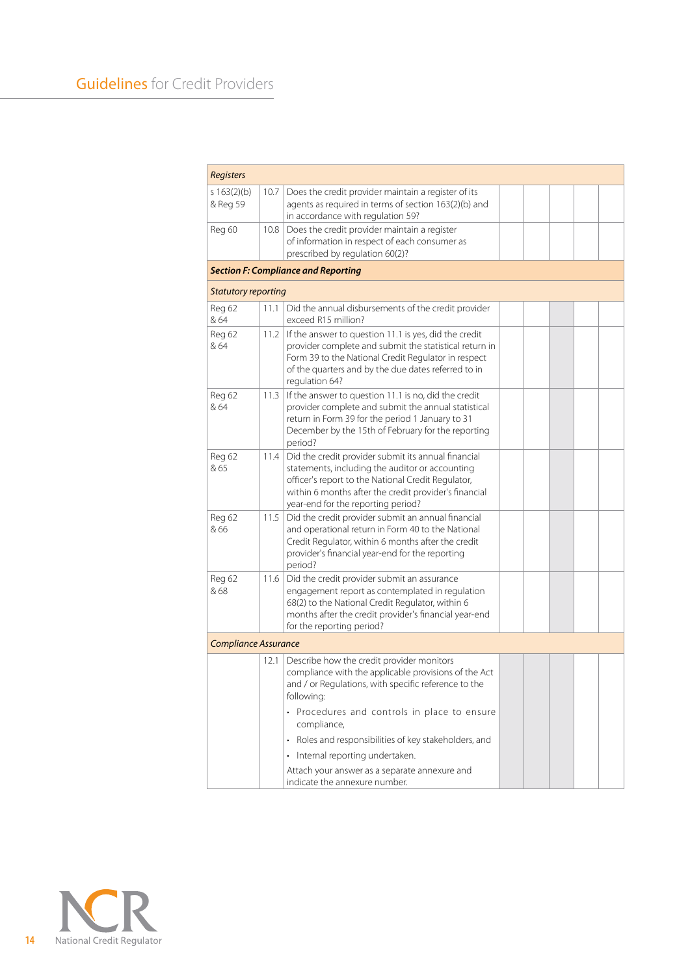| <b>Registers</b>           |      |                                                                                                                                                                                                                                                             |  |  |  |  |  |
|----------------------------|------|-------------------------------------------------------------------------------------------------------------------------------------------------------------------------------------------------------------------------------------------------------------|--|--|--|--|--|
| s $163(2)(b)$<br>& Reg 59  | 10.7 | Does the credit provider maintain a register of its<br>agents as required in terms of section 163(2)(b) and<br>in accordance with regulation 59?                                                                                                            |  |  |  |  |  |
| Reg 60                     | 10.8 | Does the credit provider maintain a register<br>of information in respect of each consumer as<br>prescribed by regulation 60(2)?                                                                                                                            |  |  |  |  |  |
|                            |      | <b>Section F: Compliance and Reporting</b>                                                                                                                                                                                                                  |  |  |  |  |  |
| <b>Statutory reporting</b> |      |                                                                                                                                                                                                                                                             |  |  |  |  |  |
| Reg 62<br>& 64             | 11.1 | Did the annual disbursements of the credit provider<br>exceed R15 million?                                                                                                                                                                                  |  |  |  |  |  |
| Reg 62<br>& 64             | 11.2 | If the answer to question 11.1 is yes, did the credit<br>provider complete and submit the statistical return in<br>Form 39 to the National Credit Regulator in respect<br>of the quarters and by the due dates referred to in<br>regulation 64?             |  |  |  |  |  |
| Reg 62<br>& 64             | 11.3 | If the answer to question 11.1 is no, did the credit<br>provider complete and submit the annual statistical<br>return in Form 39 for the period 1 January to 31<br>December by the 15th of February for the reporting<br>period?                            |  |  |  |  |  |
| Reg 62<br>& 65             | 11.4 | Did the credit provider submit its annual financial<br>statements, including the auditor or accounting<br>officer's report to the National Credit Regulator,<br>within 6 months after the credit provider's financial<br>year-end for the reporting period? |  |  |  |  |  |
| Reg 62<br>& 66             | 11.5 | Did the credit provider submit an annual financial<br>and operational return in Form 40 to the National<br>Credit Regulator, within 6 months after the credit<br>provider's financial year-end for the reporting<br>period?                                 |  |  |  |  |  |
| Reg 62<br>& 68             | 11.6 | Did the credit provider submit an assurance<br>engagement report as contemplated in regulation<br>68(2) to the National Credit Regulator, within 6<br>months after the credit provider's financial year-end<br>for the reporting period?                    |  |  |  |  |  |
| Compliance Assurance       |      |                                                                                                                                                                                                                                                             |  |  |  |  |  |
|                            | 12.1 | Describe how the credit provider monitors<br>compliance with the applicable provisions of the Act<br>and / or Regulations, with specific reference to the<br>following:                                                                                     |  |  |  |  |  |
|                            |      | • Procedures and controls in place to ensure<br>compliance,                                                                                                                                                                                                 |  |  |  |  |  |
|                            |      | Roles and responsibilities of key stakeholders, and                                                                                                                                                                                                         |  |  |  |  |  |
|                            |      | Internal reporting undertaken.                                                                                                                                                                                                                              |  |  |  |  |  |
|                            |      | Attach your answer as a separate annexure and<br>indicate the annexure number.                                                                                                                                                                              |  |  |  |  |  |

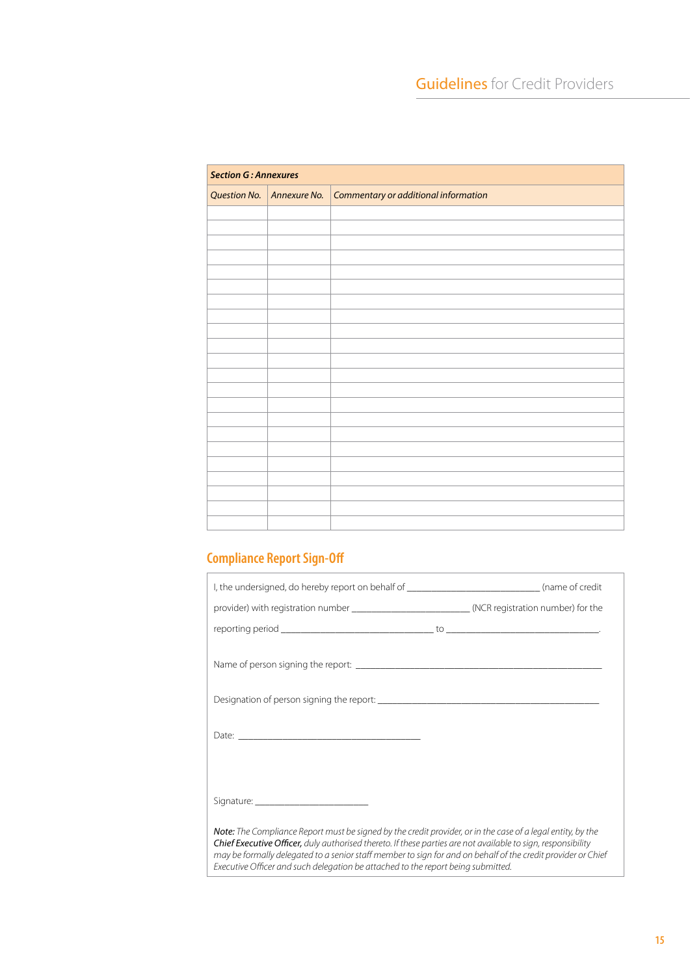| <b>Section G: Annexures</b> |              |                                      |  |
|-----------------------------|--------------|--------------------------------------|--|
| <b>Question No.</b>         | Annexure No. | Commentary or additional information |  |
|                             |              |                                      |  |
|                             |              |                                      |  |
|                             |              |                                      |  |
|                             |              |                                      |  |
|                             |              |                                      |  |
|                             |              |                                      |  |
|                             |              |                                      |  |
|                             |              |                                      |  |
|                             |              |                                      |  |
|                             |              |                                      |  |
|                             |              |                                      |  |
|                             |              |                                      |  |
|                             |              |                                      |  |
|                             |              |                                      |  |
|                             |              |                                      |  |
|                             |              |                                      |  |
|                             |              |                                      |  |
|                             |              |                                      |  |
|                             |              |                                      |  |
|                             |              |                                      |  |
|                             |              |                                      |  |

# **Compliance Report Sign-Off**

| I, the undersigned, do hereby report on behalf of ______________________________(name of credit                                                                                                                                                                                                                                                                                                                                 |  |
|---------------------------------------------------------------------------------------------------------------------------------------------------------------------------------------------------------------------------------------------------------------------------------------------------------------------------------------------------------------------------------------------------------------------------------|--|
| provider) with registration number __________________________(NCR registration number) for the                                                                                                                                                                                                                                                                                                                                  |  |
|                                                                                                                                                                                                                                                                                                                                                                                                                                 |  |
|                                                                                                                                                                                                                                                                                                                                                                                                                                 |  |
|                                                                                                                                                                                                                                                                                                                                                                                                                                 |  |
|                                                                                                                                                                                                                                                                                                                                                                                                                                 |  |
|                                                                                                                                                                                                                                                                                                                                                                                                                                 |  |
|                                                                                                                                                                                                                                                                                                                                                                                                                                 |  |
| Note: The Compliance Report must be signed by the credit provider, or in the case of a legal entity, by the<br>Chief Executive Officer, duly authorised thereto. If these parties are not available to sign, responsibility<br>may be formally delegated to a senior staff member to sign for and on behalf of the credit provider or Chief<br>Executive Officer and such delegation be attached to the report being submitted. |  |